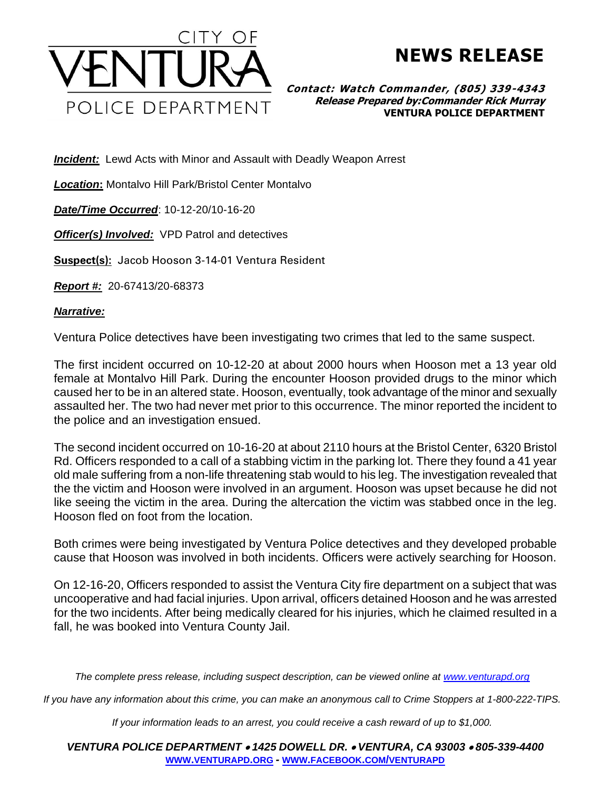

## **NEWS RELEASE**

**Contact: Watch Commander, (805) 339-4343 Release Prepared by:Commander Rick Murray VENTURA POLICE DEPARTMENT**

**Incident:** Lewd Acts with Minor and Assault with Deadly Weapon Arrest

*Location***:** Montalvo Hill Park/Bristol Center Montalvo

*Date/Time Occurred*: 10-12-20/10-16-20

*Officer(s) Involved:* VPD Patrol and detectives

**Suspect(s):** Jacob Hooson 3-14-01 Ventura Resident

*Report #:* 20-67413/20-68373

*Narrative:* 

Ventura Police detectives have been investigating two crimes that led to the same suspect.

The first incident occurred on 10-12-20 at about 2000 hours when Hooson met a 13 year old female at Montalvo Hill Park. During the encounter Hooson provided drugs to the minor which caused her to be in an altered state. Hooson, eventually, took advantage of the minor and sexually assaulted her. The two had never met prior to this occurrence. The minor reported the incident to the police and an investigation ensued.

The second incident occurred on 10-16-20 at about 2110 hours at the Bristol Center, 6320 Bristol Rd. Officers responded to a call of a stabbing victim in the parking lot. There they found a 41 year old male suffering from a non-life threatening stab would to his leg. The investigation revealed that the the victim and Hooson were involved in an argument. Hooson was upset because he did not like seeing the victim in the area. During the altercation the victim was stabbed once in the leg. Hooson fled on foot from the location.

Both crimes were being investigated by Ventura Police detectives and they developed probable cause that Hooson was involved in both incidents. Officers were actively searching for Hooson.

On 12-16-20, Officers responded to assist the Ventura City fire department on a subject that was uncooperative and had facial injuries. Upon arrival, officers detained Hooson and he was arrested for the two incidents. After being medically cleared for his injuries, which he claimed resulted in a fall, he was booked into Ventura County Jail.

*The complete press release, including suspect description, can be viewed online at [www.venturapd.org](http://www.venturapd.org/)*

*If you have any information about this crime, you can make an anonymous call to Crime Stoppers at 1-800-222-TIPS.*

*If your information leads to an arrest, you could receive a cash reward of up to \$1,000.*

*VENTURA POLICE DEPARTMENT* • *1425 DOWELL DR.* • *VENTURA, CA 93003* • *805-339-4400* **WWW.[VENTURAPD](http://www.venturapd.org/).ORG** *-* **WWW.FACEBOOK.COM/[VENTURAPD](http://www.facebook.com/venturapd)**